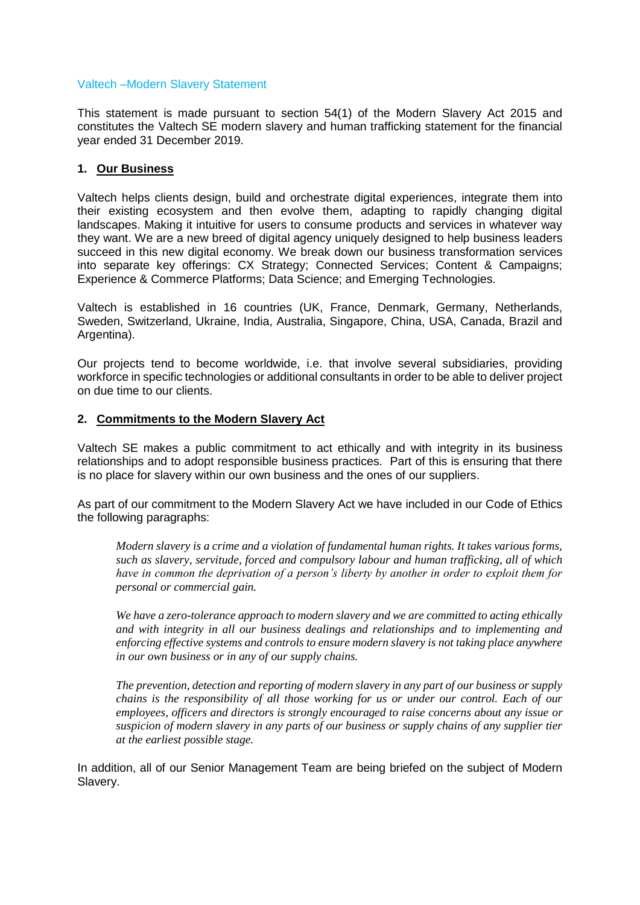#### Valtech –Modern Slavery Statement

This statement is made pursuant to section 54(1) of the Modern Slavery Act 2015 and constitutes the Valtech SE modern slavery and human trafficking statement for the financial year ended 31 December 2019.

# **1. Our Business**

Valtech helps clients design, build and orchestrate digital experiences, integrate them into their existing ecosystem and then evolve them, adapting to rapidly changing digital landscapes. Making it intuitive for users to consume products and services in whatever way they want. We are a new breed of digital agency uniquely designed to help business leaders succeed in this new digital economy. We break down our business transformation services into separate key offerings: CX Strategy; Connected Services; Content & Campaigns; Experience & Commerce Platforms; Data Science; and Emerging Technologies.

Valtech is established in 16 countries (UK, France, Denmark, Germany, Netherlands, Sweden, Switzerland, Ukraine, India, Australia, Singapore, China, USA, Canada, Brazil and Argentina).

Our projects tend to become worldwide, i.e. that involve several subsidiaries, providing workforce in specific technologies or additional consultants in order to be able to deliver project on due time to our clients.

# **2. Commitments to the Modern Slavery Act**

Valtech SE makes a public commitment to act ethically and with integrity in its business relationships and to adopt responsible business practices. Part of this is ensuring that there is no place for slavery within our own business and the ones of our suppliers.

As part of our commitment to the Modern Slavery Act we have included in our Code of Ethics the following paragraphs:

*Modern slavery is a crime and a violation of fundamental human rights. It takes various forms, such as slavery, servitude, forced and compulsory labour and human trafficking, all of which have in common the deprivation of a person's liberty by another in order to exploit them for personal or commercial gain.*

*We have a zero-tolerance approach to modern slavery and we are committed to acting ethically and with integrity in all our business dealings and relationships and to implementing and enforcing effective systems and controls to ensure modern slavery is not taking place anywhere in our own business or in any of our supply chains.*

*The prevention, detection and reporting of modern slavery in any part of our business or supply chains is the responsibility of all those working for us or under our control. Each of our employees, officers and directors is strongly encouraged to raise concerns about any issue or suspicion of modern slavery in any parts of our business or supply chains of any supplier tier at the earliest possible stage.* 

In addition, all of our Senior Management Team are being briefed on the subject of Modern Slavery.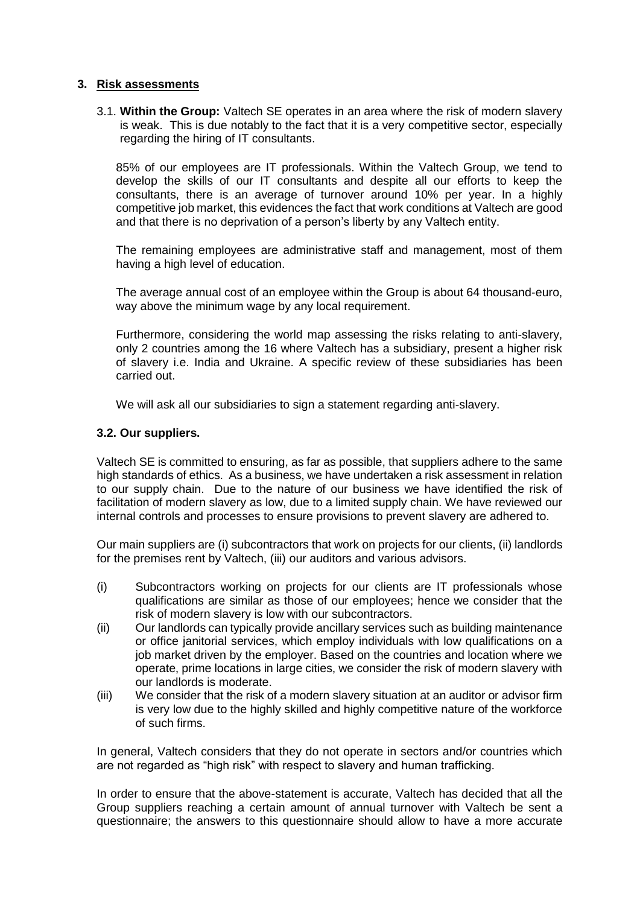### **3. Risk assessments**

3.1. **Within the Group:** Valtech SE operates in an area where the risk of modern slavery is weak. This is due notably to the fact that it is a very competitive sector, especially regarding the hiring of IT consultants.

85% of our employees are IT professionals. Within the Valtech Group, we tend to develop the skills of our IT consultants and despite all our efforts to keep the consultants, there is an average of turnover around 10% per year. In a highly competitive job market, this evidences the fact that work conditions at Valtech are good and that there is no deprivation of a person's liberty by any Valtech entity.

The remaining employees are administrative staff and management, most of them having a high level of education.

The average annual cost of an employee within the Group is about 64 thousand-euro, way above the minimum wage by any local requirement.

Furthermore, considering the world map assessing the risks relating to anti-slavery, only 2 countries among the 16 where Valtech has a subsidiary, present a higher risk of slavery i.e. India and Ukraine. A specific review of these subsidiaries has been carried out.

We will ask all our subsidiaries to sign a statement regarding anti-slavery.

### **3.2. Our suppliers.**

Valtech SE is committed to ensuring, as far as possible, that suppliers adhere to the same high standards of ethics. As a business, we have undertaken a risk assessment in relation to our supply chain. Due to the nature of our business we have identified the risk of facilitation of modern slavery as low, due to a limited supply chain. We have reviewed our internal controls and processes to ensure provisions to prevent slavery are adhered to.

Our main suppliers are (i) subcontractors that work on projects for our clients, (ii) landlords for the premises rent by Valtech, (iii) our auditors and various advisors.

- (i) Subcontractors working on projects for our clients are IT professionals whose qualifications are similar as those of our employees; hence we consider that the risk of modern slavery is low with our subcontractors.
- (ii) Our landlords can typically provide ancillary services such as building maintenance or office janitorial services, which employ individuals with low qualifications on a job market driven by the employer. Based on the countries and location where we operate, prime locations in large cities, we consider the risk of modern slavery with our landlords is moderate.
- (iii) We consider that the risk of a modern slavery situation at an auditor or advisor firm is very low due to the highly skilled and highly competitive nature of the workforce of such firms.

In general, Valtech considers that they do not operate in sectors and/or countries which are not regarded as "high risk" with respect to slavery and human trafficking.

In order to ensure that the above-statement is accurate, Valtech has decided that all the Group suppliers reaching a certain amount of annual turnover with Valtech be sent a questionnaire; the answers to this questionnaire should allow to have a more accurate